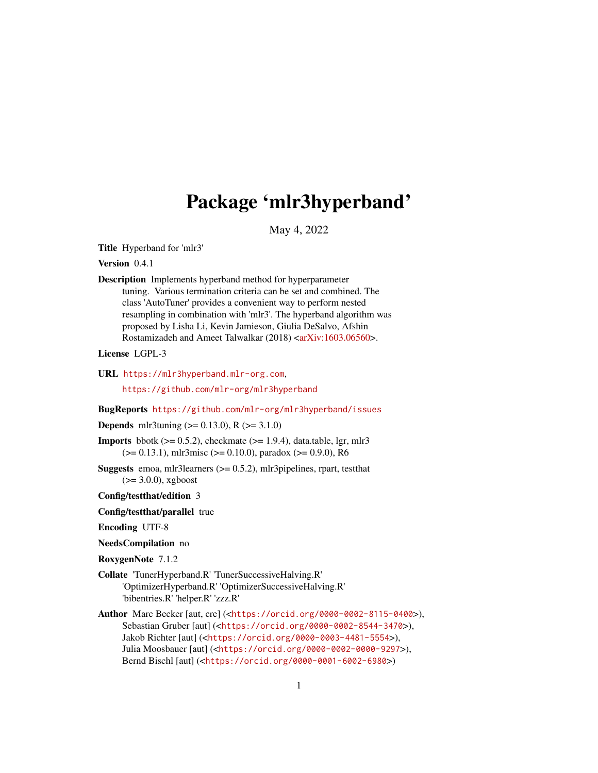# Package 'mlr3hyperband'

May 4, 2022

<span id="page-0-0"></span>Title Hyperband for 'mlr3'

Version 0.4.1

Description Implements hyperband method for hyperparameter tuning. Various termination criteria can be set and combined. The class 'AutoTuner' provides a convenient way to perform nested resampling in combination with 'mlr3'. The hyperband algorithm was proposed by Lisha Li, Kevin Jamieson, Giulia DeSalvo, Afshin Rostamizadeh and Ameet Talwalkar (2018) [<arXiv:1603.06560>](https://arxiv.org/abs/1603.06560).

License LGPL-3

URL <https://mlr3hyperband.mlr-org.com>,

<https://github.com/mlr-org/mlr3hyperband>

BugReports <https://github.com/mlr-org/mlr3hyperband/issues>

**Depends** mlr3tuning ( $> = 0.13.0$ ), R ( $> = 3.1.0$ )

**Imports** bbotk  $(>= 0.5.2)$ , checkmate  $(>= 1.9.4)$ , data.table, lgr, mlr3  $(>= 0.13.1)$ , mlr3misc  $(>= 0.10.0)$ , paradox  $(>= 0.9.0)$ , R6

**Suggests** emoa, mlr3learners  $(>= 0.5.2)$ , mlr3pipelines, rpart, testthat  $(>= 3.0.0)$ , xgboost

Config/testthat/edition 3

Config/testthat/parallel true

Encoding UTF-8

NeedsCompilation no

RoxygenNote 7.1.2

- Collate 'TunerHyperband.R' 'TunerSuccessiveHalving.R' 'OptimizerHyperband.R' 'OptimizerSuccessiveHalving.R' 'bibentries.R' 'helper.R' 'zzz.R'
- Author Marc Becker [aut, cre] (<<https://orcid.org/0000-0002-8115-0400>>), Sebastian Gruber [aut] (<<https://orcid.org/0000-0002-8544-3470>>), Jakob Richter [aut] (<<https://orcid.org/0000-0003-4481-5554>>), Julia Moosbauer [aut] (<<https://orcid.org/0000-0002-0000-9297>>), Bernd Bischl [aut] (<<https://orcid.org/0000-0001-6002-6980>>)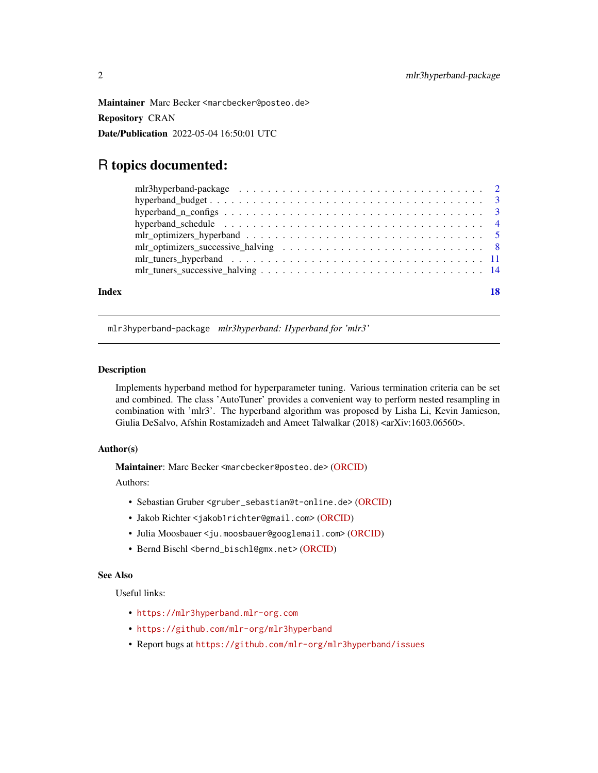<span id="page-1-0"></span>Maintainer Marc Becker <marcbecker@posteo.de> Repository CRAN Date/Publication 2022-05-04 16:50:01 UTC

# R topics documented:

| Index |                                                                                                                                 |  |
|-------|---------------------------------------------------------------------------------------------------------------------------------|--|
|       | $mlr_tuners_successive_halving \dots \dots \dots \dots \dots \dots \dots \dots \dots \dots \dots \dots \dots \dots \dots \dots$ |  |
|       |                                                                                                                                 |  |
|       |                                                                                                                                 |  |
|       |                                                                                                                                 |  |
|       |                                                                                                                                 |  |
|       |                                                                                                                                 |  |
|       |                                                                                                                                 |  |
|       |                                                                                                                                 |  |

mlr3hyperband-package *mlr3hyperband: Hyperband for 'mlr3'*

# **Description**

Implements hyperband method for hyperparameter tuning. Various termination criteria can be set and combined. The class 'AutoTuner' provides a convenient way to perform nested resampling in combination with 'mlr3'. The hyperband algorithm was proposed by Lisha Li, Kevin Jamieson, Giulia DeSalvo, Afshin Rostamizadeh and Ameet Talwalkar (2018) <arXiv:1603.06560>.

# Author(s)

Maintainer: Marc Becker <marcbecker@posteo.de> [\(ORCID\)](https://orcid.org/0000-0002-8115-0400)

Authors:

- Sebastian Gruber <gruber\_sebastian@t-online.de> [\(ORCID\)](https://orcid.org/0000-0002-8544-3470)
- Jakob Richter <jakob1richter@gmail.com> [\(ORCID\)](https://orcid.org/0000-0003-4481-5554)
- Julia Moosbauer <ju.moosbauer@googlemail.com> [\(ORCID\)](https://orcid.org/0000-0002-0000-9297)
- Bernd Bischl <br/>bernd\_bischl@gmx.net> [\(ORCID\)](https://orcid.org/0000-0001-6002-6980)

# See Also

Useful links:

- <https://mlr3hyperband.mlr-org.com>
- <https://github.com/mlr-org/mlr3hyperband>
- Report bugs at <https://github.com/mlr-org/mlr3hyperband/issues>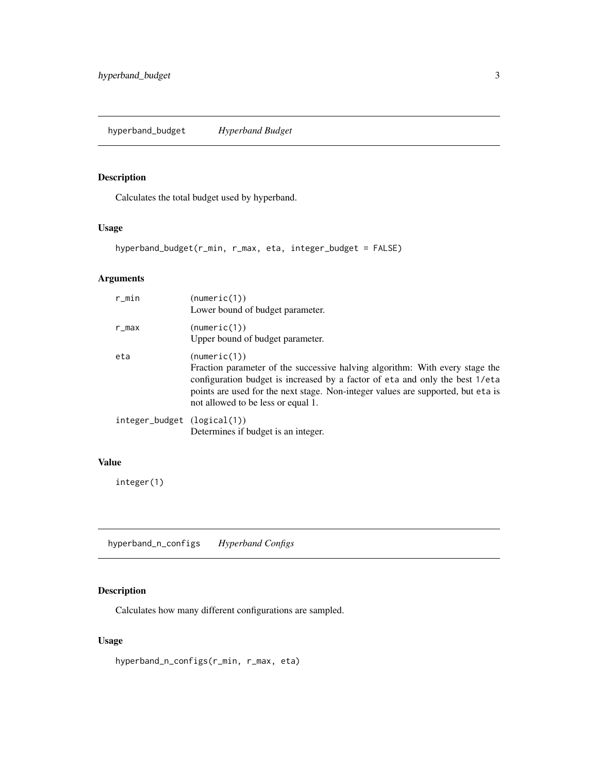# <span id="page-2-0"></span>Description

Calculates the total budget used by hyperband.

# Usage

```
hyperband_budget(r_min, r_max, eta, integer_budget = FALSE)
```
# Arguments

| r_min                       | (numeric(1))<br>Lower bound of budget parameter.                                                                                                                                                                                                                                                       |
|-----------------------------|--------------------------------------------------------------------------------------------------------------------------------------------------------------------------------------------------------------------------------------------------------------------------------------------------------|
| r_max                       | (numeric(1))<br>Upper bound of budget parameter.                                                                                                                                                                                                                                                       |
| eta                         | (numeric(1))<br>Fraction parameter of the successive halving algorithm: With every stage the<br>configuration budget is increased by a factor of eta and only the best 1/eta<br>points are used for the next stage. Non-integer values are supported, but eta is<br>not allowed to be less or equal 1. |
| integer_budget (logical(1)) | Determines if budget is an integer.                                                                                                                                                                                                                                                                    |

# Value

integer(1)

hyperband\_n\_configs *Hyperband Configs*

# Description

Calculates how many different configurations are sampled.

# Usage

hyperband\_n\_configs(r\_min, r\_max, eta)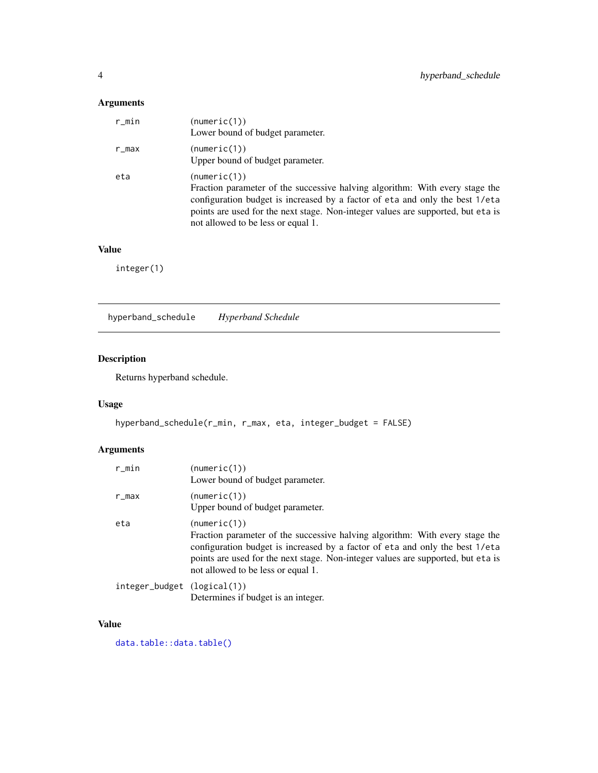# <span id="page-3-0"></span>Arguments

| r_min | (numeric(1))<br>Lower bound of budget parameter.                                                                                                                                                                                                                                                       |
|-------|--------------------------------------------------------------------------------------------------------------------------------------------------------------------------------------------------------------------------------------------------------------------------------------------------------|
| r_max | (numeric(1))<br>Upper bound of budget parameter.                                                                                                                                                                                                                                                       |
| eta   | (numeric(1))<br>Fraction parameter of the successive halving algorithm: With every stage the<br>configuration budget is increased by a factor of eta and only the best 1/eta<br>points are used for the next stage. Non-integer values are supported, but eta is<br>not allowed to be less or equal 1. |

# Value

integer(1)

<span id="page-3-1"></span>hyperband\_schedule *Hyperband Schedule*

# Description

Returns hyperband schedule.

# Usage

```
hyperband_schedule(r_min, r_max, eta, integer_budget = FALSE)
```
# Arguments

| r_min                       | (numeric(1))<br>Lower bound of budget parameter.                                                                                                                                                                                                                                                       |
|-----------------------------|--------------------------------------------------------------------------------------------------------------------------------------------------------------------------------------------------------------------------------------------------------------------------------------------------------|
| r_max                       | (numeric(1))<br>Upper bound of budget parameter.                                                                                                                                                                                                                                                       |
| eta                         | (numeric(1))<br>Fraction parameter of the successive halving algorithm: With every stage the<br>configuration budget is increased by a factor of eta and only the best 1/eta<br>points are used for the next stage. Non-integer values are supported, but eta is<br>not allowed to be less or equal 1. |
| integer_budget (logical(1)) | Determines if budget is an integer.                                                                                                                                                                                                                                                                    |

# Value

[data.table::data.table\(\)](#page-0-0)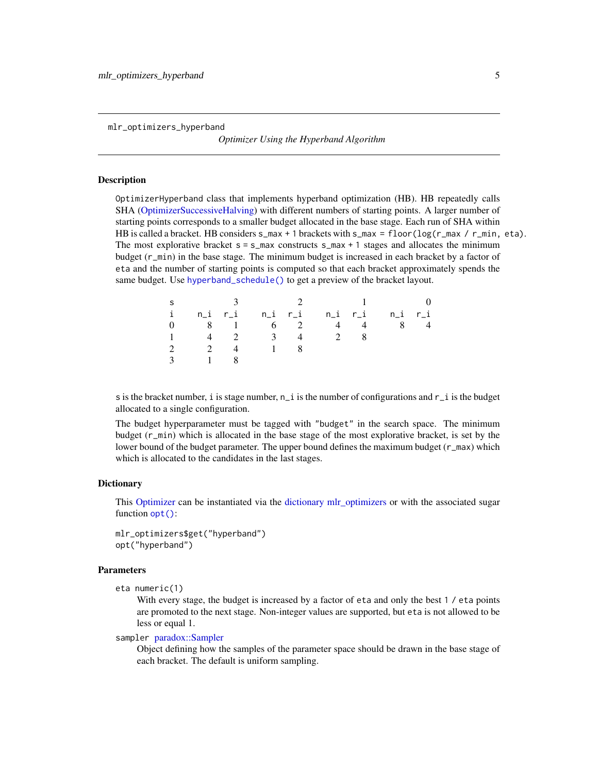<span id="page-4-0"></span>mlr\_optimizers\_hyperband

*Optimizer Using the Hyperband Algorithm*

#### Description

OptimizerHyperband class that implements hyperband optimization (HB). HB repeatedly calls SHA [\(OptimizerSuccessiveHalving\)](#page-7-1) with different numbers of starting points. A larger number of starting points corresponds to a smaller budget allocated in the base stage. Each run of SHA within HB is called a bracket. HB considers  $s_{max} + 1$  brackets with  $s_{max} = f_{loor} \cdot (log(r_{max} / r_{min}, \text{eta}).$ The most explorative bracket  $s = s_{max}$  constructs  $s_{max} + 1$  stages and allocates the minimum budget (r\_min) in the base stage. The minimum budget is increased in each bracket by a factor of eta and the number of starting points is computed so that each bracket approximately spends the same budget. Use [hyperband\\_schedule\(\)](#page-3-1) to get a preview of the bracket layout.

| S             |                   |           |                              |    | $\sim$ 1.0 $\sim$ 0.0 $\sim$ 0.0 $\sim$ | $\hspace{1.6cm}0$ |
|---------------|-------------------|-----------|------------------------------|----|-----------------------------------------|-------------------|
|               |                   |           |                              |    | i n_ir_i n_ir_i n_ir_i n_ir_i           |                   |
|               |                   |           | 0 8 1 6 2 4                  |    | 8<br>$4 \quad$                          |                   |
|               |                   |           | $1 \t 4 \t 2 \t 3 \t 4 \t 2$ | -8 |                                         |                   |
|               |                   | 2 2 4 1 8 |                              |    |                                         |                   |
| $\mathcal{E}$ | $\sim$ 1.4 $\sim$ |           |                              |    |                                         |                   |

s is the bracket number, i is stage number,  $n_i$  is the number of configurations and  $r_i$  is the budget allocated to a single configuration.

The budget hyperparameter must be tagged with "budget" in the search space. The minimum budget (r\_min) which is allocated in the base stage of the most explorative bracket, is set by the lower bound of the budget parameter. The upper bound defines the maximum budget (r\_max) which which is allocated to the candidates in the last stages.

# **Dictionary**

This [Optimizer](#page-0-0) can be instantiated via the [dictionary](#page-0-0) mlr optimizers or with the associated sugar function [opt\(\)](#page-0-0):

mlr\_optimizers\$get("hyperband") opt("hyperband")

# **Parameters**

eta numeric(1)

With every stage, the budget is increased by a factor of eta and only the best 1 / eta points are promoted to the next stage. Non-integer values are supported, but eta is not allowed to be less or equal 1.

### sampler [paradox::Sampler](#page-0-0)

Object defining how the samples of the parameter space should be drawn in the base stage of each bracket. The default is uniform sampling.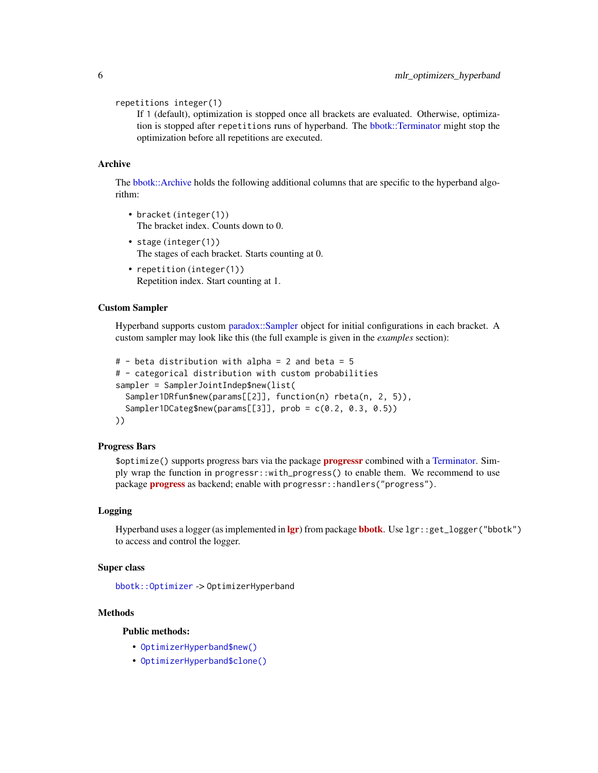<span id="page-5-1"></span>repetitions integer(1)

If 1 (default), optimization is stopped once all brackets are evaluated. Otherwise, optimization is stopped after repetitions runs of hyperband. The [bbotk::Terminator](#page-0-0) might stop the optimization before all repetitions are executed.

# Archive

The [bbotk::Archive](#page-0-0) holds the following additional columns that are specific to the hyperband algorithm:

- bracket (integer(1)) The bracket index. Counts down to 0.
- stage (integer(1)) The stages of each bracket. Starts counting at 0.
- repetition (integer(1)) Repetition index. Start counting at 1.

#### Custom Sampler

Hyperband supports custom [paradox::Sampler](#page-0-0) object for initial configurations in each bracket. A custom sampler may look like this (the full example is given in the *examples* section):

```
# - beta distribution with alpha = 2 and beta = 5
# - categorical distribution with custom probabilities
sampler = SamplerJointIndep$new(list(
  Sampler1DRfun$new(params[[2]], function(n) rbeta(n, 2, 5)),
  Sampler1DCateg$new(params[[3]], prob = c(0.2, 0.3, 0.5))
))
```
# Progress Bars

\$optimize() supports progress bars via the package **[progressr](https://CRAN.R-project.org/package=progressr)** combined with a [Terminator.](#page-0-0) Simply wrap the function in progressr::with\_progress() to enable them. We recommend to use package **[progress](https://CRAN.R-project.org/package=progress)** as backend; enable with progressr::handlers("progress").

# Logging

Hyperband uses a logger (as implemented in [lgr](https://CRAN.R-project.org/package=lgr)) from package [bbotk](https://CRAN.R-project.org/package=bbotk). Use lgr::get\_logger("bbotk") to access and control the logger.

# Super class

[bbotk::Optimizer](#page-0-0) -> OptimizerHyperband

# **Methods**

Public methods:

- [OptimizerHyperband\\$new\(\)](#page-5-0)
- <span id="page-5-0"></span>• [OptimizerHyperband\\$clone\(\)](#page-6-0)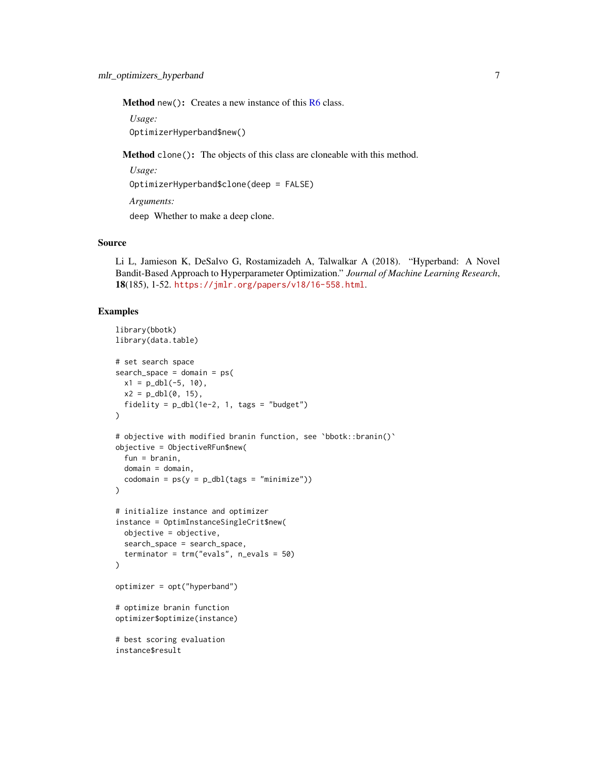<span id="page-6-1"></span>Method new(): Creates a new instance of this [R6](#page-0-0) class.

*Usage:*

OptimizerHyperband\$new()

<span id="page-6-0"></span>Method clone(): The objects of this class are cloneable with this method.

*Usage:*

OptimizerHyperband\$clone(deep = FALSE)

*Arguments:*

deep Whether to make a deep clone.

# Source

Li L, Jamieson K, DeSalvo G, Rostamizadeh A, Talwalkar A (2018). "Hyperband: A Novel Bandit-Based Approach to Hyperparameter Optimization." *Journal of Machine Learning Research*, 18(185), 1-52. <https://jmlr.org/papers/v18/16-558.html>.

```
library(bbotk)
library(data.table)
# set search space
search\_space = domain = ps(x1 = p_dbl(-5, 10),
 x2 = p_dbl(0, 15),
  fidelity = p_dbl(1e-2, 1, tags = "budget")\mathcal{L}# objective with modified branin function, see `bbotk::branin()`
objective = ObjectiveRFun$new(
  fun = branin,
  domain = domain,
  codomain = ps(y = p_dbl(tags = "minimize")))
# initialize instance and optimizer
instance = OptimInstanceSingleCrit$new(
  objective = objective,
  search_space = search_space,
  terminator = trm("evals", n_evals = 50)
)
optimizer = opt("hyperband")
# optimize branin function
optimizer$optimize(instance)
# best scoring evaluation
instance$result
```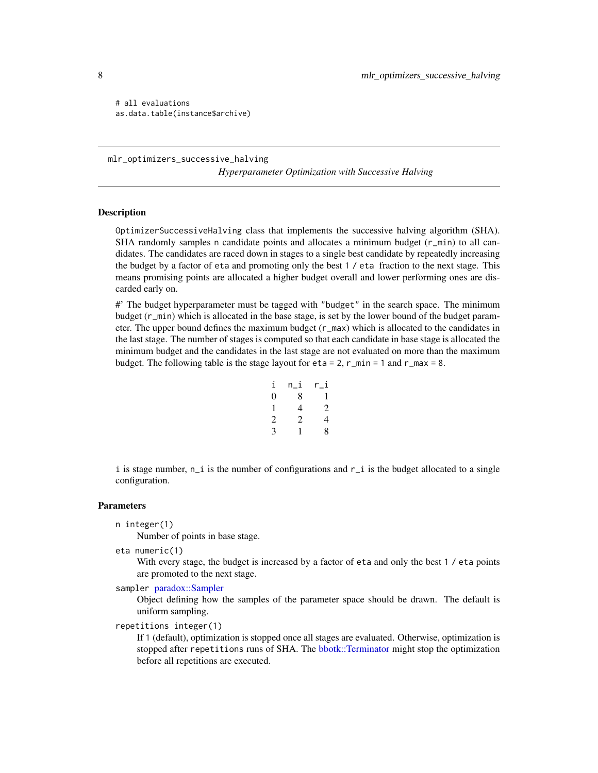# all evaluations as.data.table(instance\$archive)

mlr\_optimizers\_successive\_halving *Hyperparameter Optimization with Successive Halving*

# <span id="page-7-1"></span>**Description**

OptimizerSuccessiveHalving class that implements the successive halving algorithm (SHA). SHA randomly samples n candidate points and allocates a minimum budget  $(r_{\text{min}})$  to all candidates. The candidates are raced down in stages to a single best candidate by repeatedly increasing the budget by a factor of eta and promoting only the best 1 / eta fraction to the next stage. This means promising points are allocated a higher budget overall and lower performing ones are discarded early on.

#' The budget hyperparameter must be tagged with "budget" in the search space. The minimum budget (r\_min) which is allocated in the base stage, is set by the lower bound of the budget parameter. The upper bound defines the maximum budget  $(r_{max})$  which is allocated to the candidates in the last stage. The number of stages is computed so that each candidate in base stage is allocated the minimum budget and the candidates in the last stage are not evaluated on more than the maximum budget. The following table is the stage layout for  $eta = 2$ ,  $r_{min} = 1$  and  $r_{max} = 8$ .

| i | n i | r_i |
|---|-----|-----|
| 0 | 8   | 1   |
| 1 | 4   | 2   |
| 2 | 2   | 4   |
| 3 | 1   | 8   |

i is stage number,  $n_i$  is the number of configurations and  $r_i$  is the budget allocated to a single configuration.

#### Parameters

n integer(1)

Number of points in base stage.

eta numeric(1)

With every stage, the budget is increased by a factor of eta and only the best 1 / eta points are promoted to the next stage.

sampler [paradox::Sampler](#page-0-0)

Object defining how the samples of the parameter space should be drawn. The default is uniform sampling.

repetitions integer(1)

If 1 (default), optimization is stopped once all stages are evaluated. Otherwise, optimization is stopped after repetitions runs of SHA. The [bbotk::Terminator](#page-0-0) might stop the optimization before all repetitions are executed.

<span id="page-7-0"></span>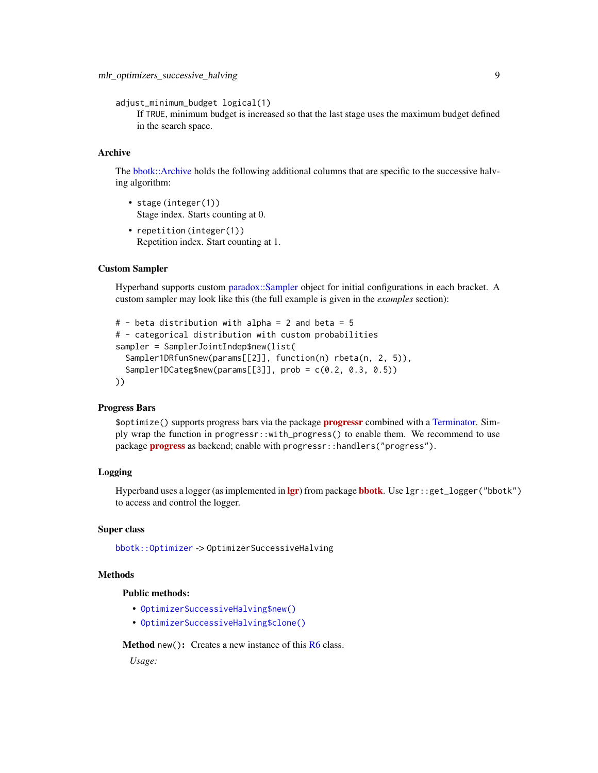<span id="page-8-0"></span>adjust\_minimum\_budget logical(1)

If TRUE, minimum budget is increased so that the last stage uses the maximum budget defined in the search space.

# Archive

The [bbotk::Archive](#page-0-0) holds the following additional columns that are specific to the successive halving algorithm:

- stage (integer(1)) Stage index. Starts counting at 0.
- repetition (integer(1)) Repetition index. Start counting at 1.

### Custom Sampler

Hyperband supports custom [paradox::Sampler](#page-0-0) object for initial configurations in each bracket. A custom sampler may look like this (the full example is given in the *examples* section):

```
# - beta distribution with alpha = 2 and beta = 5
# - categorical distribution with custom probabilities
sampler = SamplerJointIndep$new(list(
 Sampler1DRfun$new(params[[2]], function(n) rbeta(n, 2, 5)),
  Sampler1DCateg$new(params[[3]], prob = c(0.2, 0.3, 0.5))
))
```
# Progress Bars

\$optimize() supports progress bars via the package **progressi** combined with a [Terminator.](#page-0-0) Simply wrap the function in progressr::with\_progress() to enable them. We recommend to use package **[progress](https://CRAN.R-project.org/package=progress)** as backend; enable with progressr:: handlers("progress").

# Logging

Hyperband uses a logger (as implemented in  $\lg r$ ) from package **[bbotk](https://CRAN.R-project.org/package=bbotk)**. Use  $\lg r$ : :get\_logger("bbotk") to access and control the logger.

# Super class

[bbotk::Optimizer](#page-0-0) -> OptimizerSuccessiveHalving

# **Methods**

# Public methods:

- [OptimizerSuccessiveHalving\\$new\(\)](#page-5-0)
- [OptimizerSuccessiveHalving\\$clone\(\)](#page-6-0)

Method new(): Creates a new instance of this [R6](#page-0-0) class.

*Usage:*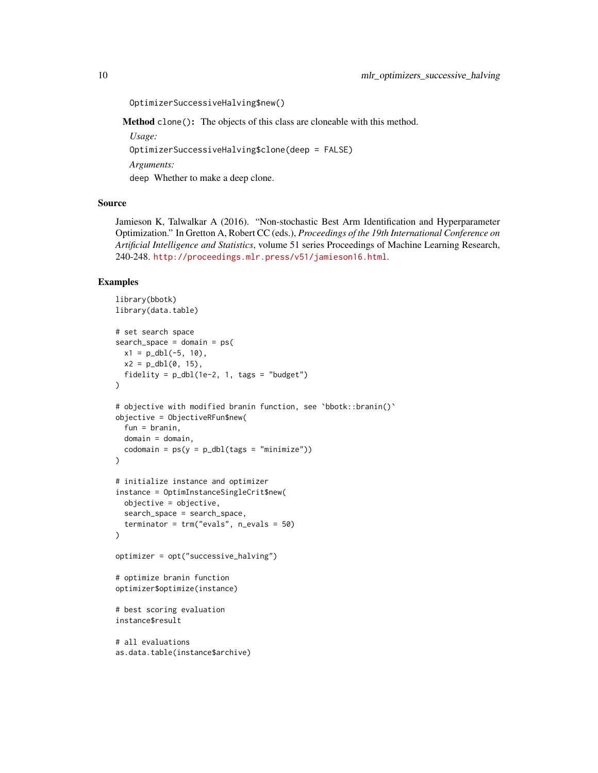OptimizerSuccessiveHalving\$new()

Method clone(): The objects of this class are cloneable with this method.

*Usage:*

OptimizerSuccessiveHalving\$clone(deep = FALSE)

*Arguments:*

deep Whether to make a deep clone.

# Source

Jamieson K, Talwalkar A (2016). "Non-stochastic Best Arm Identification and Hyperparameter Optimization." In Gretton A, Robert CC (eds.), *Proceedings of the 19th International Conference on Artificial Intelligence and Statistics*, volume 51 series Proceedings of Machine Learning Research, 240-248. <http://proceedings.mlr.press/v51/jamieson16.html>.

```
library(bbotk)
library(data.table)
# set search space
search_space = domain = ps(
 x1 = p_dbl(-5, 10),
 x2 = p_dbl(0, 15),fidelity = p_dbl(1e-2, 1, tags = "budget")\lambda# objective with modified branin function, see `bbotk::branin()`
objective = ObjectiveRFun$new(
 fun = branin,
 domain = domain.
 codomain = ps(y = p_dbl(tags = "minimize")))
# initialize instance and optimizer
instance = OptimInstanceSingleCrit$new(
 objective = objective,
 search_space = search_space,
 terminator = trm("evals", n_evals = 50)
)
optimizer = opt("successive_halving")
# optimize branin function
optimizer$optimize(instance)
# best scoring evaluation
instance$result
# all evaluations
as.data.table(instance$archive)
```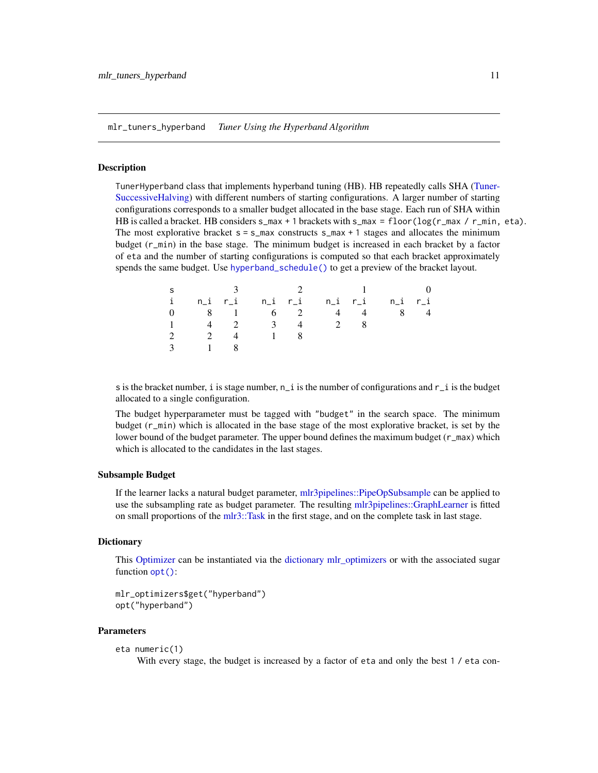<span id="page-10-0"></span>mlr\_tuners\_hyperband *Tuner Using the Hyperband Algorithm*

# Description

TunerHyperband class that implements hyperband tuning (HB). HB repeatedly calls SHA [\(Tuner-](#page-13-1)[SuccessiveHalving\)](#page-13-1) with different numbers of starting configurations. A larger number of starting configurations corresponds to a smaller budget allocated in the base stage. Each run of SHA within HB is called a bracket. HB considers  $s_{max} + 1$  brackets with  $s_{max} = f_{loor}(\log(r_{max} / r_{min}, \epsilon a))$ . The most explorative bracket  $s = s_{max}$  constructs  $s_{max} + 1$  stages and allocates the minimum budget (r\_min) in the base stage. The minimum budget is increased in each bracket by a factor of eta and the number of starting configurations is computed so that each bracket approximately spends the same budget. Use [hyperband\\_schedule\(\)](#page-3-1) to get a preview of the bracket layout.

| S           |                                  |    |                              |                | 2 and $\frac{1}{2}$                               | $\overline{0}$ |
|-------------|----------------------------------|----|------------------------------|----------------|---------------------------------------------------|----------------|
| $i$ and $i$ |                                  |    |                              |                | n_i r_i     n_i   r_i     n_i   r_i     n_i   r_i |                |
|             |                                  |    | $0 \t 8 \t 1 \t 6 \t 2 \t 4$ | $\overline{4}$ |                                                   | -4             |
|             |                                  |    | $1 \t 4 \t 2 \t 3 \t 4 \t 2$ |                |                                                   |                |
|             | 2 2 4                            | 18 |                              |                |                                                   |                |
| 3           | $\sim$ 1.000 $\sim$ 1.000 $\sim$ |    |                              |                |                                                   |                |

s is the bracket number, i is stage number,  $n_i$  is the number of configurations and  $r_i$  is the budget allocated to a single configuration.

The budget hyperparameter must be tagged with "budget" in the search space. The minimum budget (r\_min) which is allocated in the base stage of the most explorative bracket, is set by the lower bound of the budget parameter. The upper bound defines the maximum budget (r\_max) which which is allocated to the candidates in the last stages.

#### Subsample Budget

If the learner lacks a natural budget parameter, [mlr3pipelines::PipeOpSubsample](#page-0-0) can be applied to use the subsampling rate as budget parameter. The resulting [mlr3pipelines::GraphLearner](#page-0-0) is fitted on small proportions of the [mlr3::Task](#page-0-0) in the first stage, and on the complete task in last stage.

## **Dictionary**

This [Optimizer](#page-0-0) can be instantiated via the [dictionary](#page-0-0) [mlr\\_optimizers](#page-0-0) or with the associated sugar function [opt\(\)](#page-0-0):

```
mlr_optimizers$get("hyperband")
opt("hyperband")
```
#### **Parameters**

```
eta numeric(1)
```
With every stage, the budget is increased by a factor of eta and only the best 1 / eta con-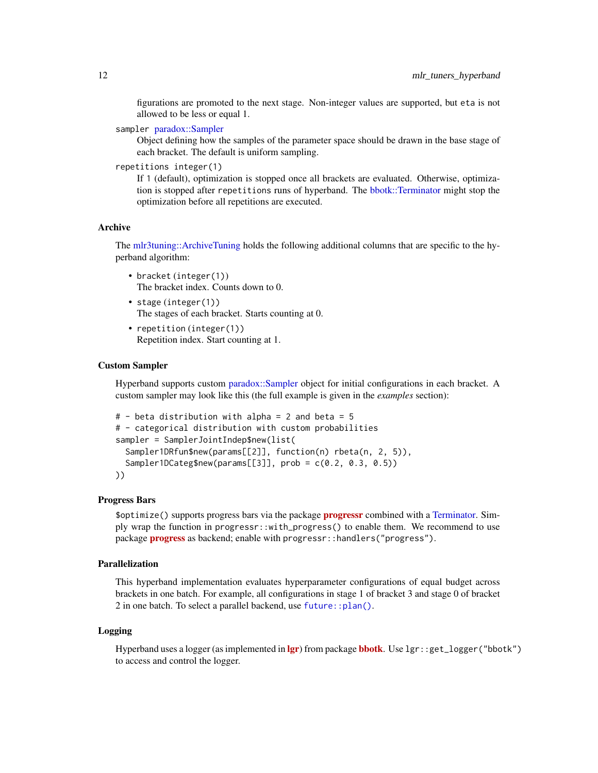<span id="page-11-0"></span>figurations are promoted to the next stage. Non-integer values are supported, but eta is not allowed to be less or equal 1.

sampler [paradox::Sampler](#page-0-0)

Object defining how the samples of the parameter space should be drawn in the base stage of each bracket. The default is uniform sampling.

repetitions integer(1)

If 1 (default), optimization is stopped once all brackets are evaluated. Otherwise, optimization is stopped after repetitions runs of hyperband. The [bbotk::Terminator](#page-0-0) might stop the optimization before all repetitions are executed.

# Archive

The [mlr3tuning::ArchiveTuning](#page-0-0) holds the following additional columns that are specific to the hyperband algorithm:

- bracket (integer(1)) The bracket index. Counts down to 0.
- stage (integer(1)) The stages of each bracket. Starts counting at 0.
- repetition (integer(1)) Repetition index. Start counting at 1.

# Custom Sampler

Hyperband supports custom [paradox::Sampler](#page-0-0) object for initial configurations in each bracket. A custom sampler may look like this (the full example is given in the *examples* section):

```
# - beta distribution with alpha = 2 and beta = 5
# - categorical distribution with custom probabilities
sampler = SamplerJointIndep$new(list(
  Sampler1DRfun$new(params[[2]], function(n) rbeta(n, 2, 5)),
  Sampler1DCateg$new(params[[3]], prob = c(0.2, 0.3, 0.5))
))
```
# Progress Bars

\$optimize() supports progress bars via the package **[progressr](https://CRAN.R-project.org/package=progressr)** combined with a [Terminator.](#page-0-0) Simply wrap the function in progressr::with\_progress() to enable them. We recommend to use package **[progress](https://CRAN.R-project.org/package=progress)** as backend; enable with progressr::handlers("progress").

# Parallelization

This hyperband implementation evaluates hyperparameter configurations of equal budget across brackets in one batch. For example, all configurations in stage 1 of bracket 3 and stage 0 of bracket 2 in one batch. To select a parallel backend, use [future::plan\(\)](#page-0-0).

#### Logging

Hyperband uses a logger (as implemented in [lgr](https://CRAN.R-project.org/package=lgr)) from package **[bbotk](https://CRAN.R-project.org/package=bbotk)**. Use lgr::get\_logger("bbotk") to access and control the logger.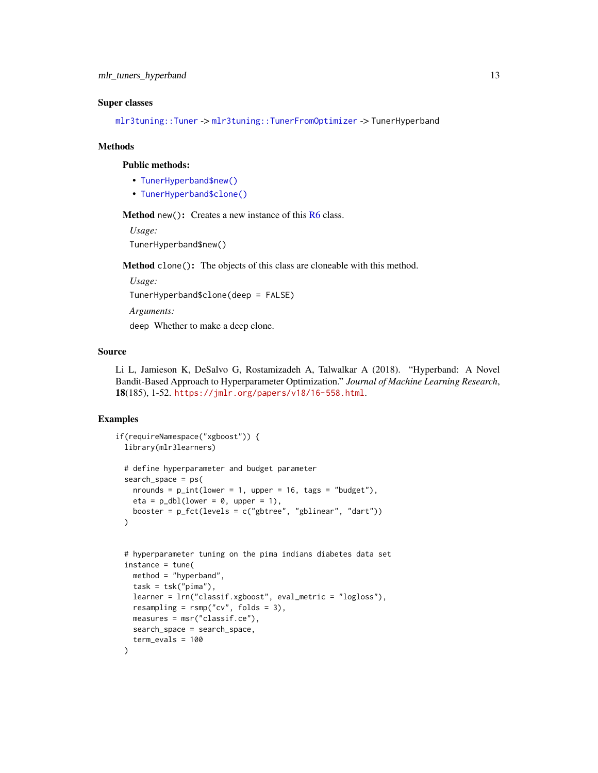# <span id="page-12-0"></span>Super classes

[mlr3tuning::Tuner](#page-0-0) -> [mlr3tuning::TunerFromOptimizer](#page-0-0) -> TunerHyperband

#### Methods

#### Public methods:

- [TunerHyperband\\$new\(\)](#page-5-0)
- [TunerHyperband\\$clone\(\)](#page-6-0)

Method new(): Creates a new instance of this [R6](#page-0-0) class.

*Usage:*

TunerHyperband\$new()

Method clone(): The objects of this class are cloneable with this method.

*Usage:*

TunerHyperband\$clone(deep = FALSE)

*Arguments:*

deep Whether to make a deep clone.

#### Source

Li L, Jamieson K, DeSalvo G, Rostamizadeh A, Talwalkar A (2018). "Hyperband: A Novel Bandit-Based Approach to Hyperparameter Optimization." *Journal of Machine Learning Research*, 18(185), 1-52. <https://jmlr.org/papers/v18/16-558.html>.

```
if(requireNamespace("xgboost")) {
 library(mlr3learners)
 # define hyperparameter and budget parameter
 search_space = ps(
   nrounds = p_{\text{int}}(lower = 1, upper = 16, tags = "budget").eta = p_dbl(lower = 0, upper = 1),
   booster = p_fct(levels = c("gbtree", "gblinear", "dart"))
 )
 # hyperparameter tuning on the pima indians diabetes data set
 instance = tune(
   method = "hyperband",
   task = tsk("pima"),learner = lrn("classif.xgboost", eval_metric = "logloss"),
   resampling = rsmp("cv", folds = 3),
   measures = msr("classif.ce"),
   search_space = search_space,
    term_evals = 100
 \lambda
```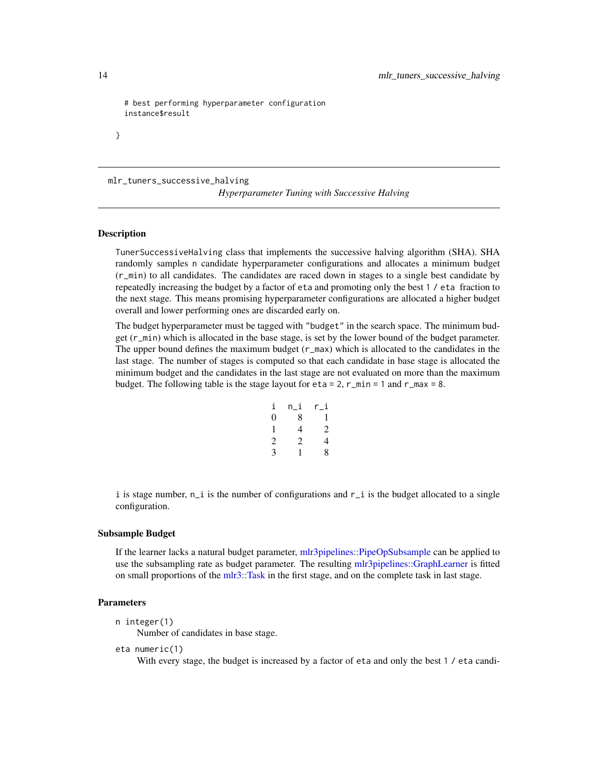```
# best performing hyperparameter configuration
instance$result
```
mlr\_tuners\_successive\_halving

*Hyperparameter Tuning with Successive Halving*

# <span id="page-13-1"></span>Description

}

TunerSuccessiveHalving class that implements the successive halving algorithm (SHA). SHA randomly samples n candidate hyperparameter configurations and allocates a minimum budget (r\_min) to all candidates. The candidates are raced down in stages to a single best candidate by repeatedly increasing the budget by a factor of eta and promoting only the best 1 / eta fraction to the next stage. This means promising hyperparameter configurations are allocated a higher budget overall and lower performing ones are discarded early on.

The budget hyperparameter must be tagged with "budget" in the search space. The minimum budget (r\_min) which is allocated in the base stage, is set by the lower bound of the budget parameter. The upper bound defines the maximum budget (r\_max) which is allocated to the candidates in the last stage. The number of stages is computed so that each candidate in base stage is allocated the minimum budget and the candidates in the last stage are not evaluated on more than the maximum budget. The following table is the stage layout for  $eta = 2$ ,  $r_{min} = 1$  and  $r_{max} = 8$ .

| i              | n_i | r_i            |
|----------------|-----|----------------|
| 0              | 8   | 1              |
| 1              | 4   | $\overline{c}$ |
| $\overline{c}$ | 2   | 4              |
| 3              | 1   | 8              |
|                |     |                |

i is stage number,  $n_i$  is the number of configurations and  $r_i$  is the budget allocated to a single configuration.

# Subsample Budget

If the learner lacks a natural budget parameter, [mlr3pipelines::PipeOpSubsample](#page-0-0) can be applied to use the subsampling rate as budget parameter. The resulting [mlr3pipelines::GraphLearner](#page-0-0) is fitted on small proportions of the [mlr3::Task](#page-0-0) in the first stage, and on the complete task in last stage.

# Parameters

```
n integer(1)
```
Number of candidates in base stage.

eta numeric(1)

With every stage, the budget is increased by a factor of eta and only the best 1 / eta candi-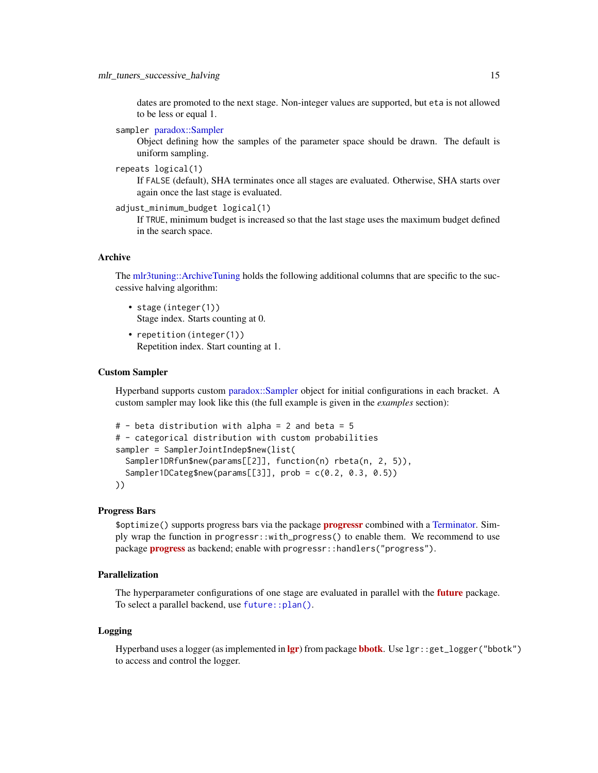<span id="page-14-0"></span>dates are promoted to the next stage. Non-integer values are supported, but eta is not allowed to be less or equal 1.

```
sampler paradox::Sampler
```
Object defining how the samples of the parameter space should be drawn. The default is uniform sampling.

```
repeats logical(1)
```
If FALSE (default), SHA terminates once all stages are evaluated. Otherwise, SHA starts over again once the last stage is evaluated.

```
adjust_minimum_budget logical(1)
```
If TRUE, minimum budget is increased so that the last stage uses the maximum budget defined in the search space.

# Archive

The [mlr3tuning::ArchiveTuning](#page-0-0) holds the following additional columns that are specific to the successive halving algorithm:

- stage (integer(1)) Stage index. Starts counting at 0.
- repetition (integer(1)) Repetition index. Start counting at 1.

## Custom Sampler

Hyperband supports custom [paradox::Sampler](#page-0-0) object for initial configurations in each bracket. A custom sampler may look like this (the full example is given in the *examples* section):

```
# - beta distribution with alpha = 2 and beta = 5
# - categorical distribution with custom probabilities
sampler = SamplerJointIndep$new(list(
  Sampler1DRfun$new(params[[2]], function(n) rbeta(n, 2, 5)),
  Sampler1DCateg$new(params[[3]], prob = c(0.2, 0.3, 0.5))
))
```
# Progress Bars

\$optimize() supports progress bars via the package **progressi** combined with a [Terminator.](#page-0-0) Simply wrap the function in progressr::with\_progress() to enable them. We recommend to use package **[progress](https://CRAN.R-project.org/package=progress)** as backend; enable with progressr:: handlers("progress").

# Parallelization

The hyperparameter configurations of one stage are evaluated in parallel with the **[future](https://CRAN.R-project.org/package=future)** package. To select a parallel backend, use [future::plan\(\)](#page-0-0).

#### Logging

Hyperband uses a logger (as implemented in  $\lg r$ ) from package **[bbotk](https://CRAN.R-project.org/package=bbotk)**. Use  $\lg r$ : :get\_logger("bbotk") to access and control the logger.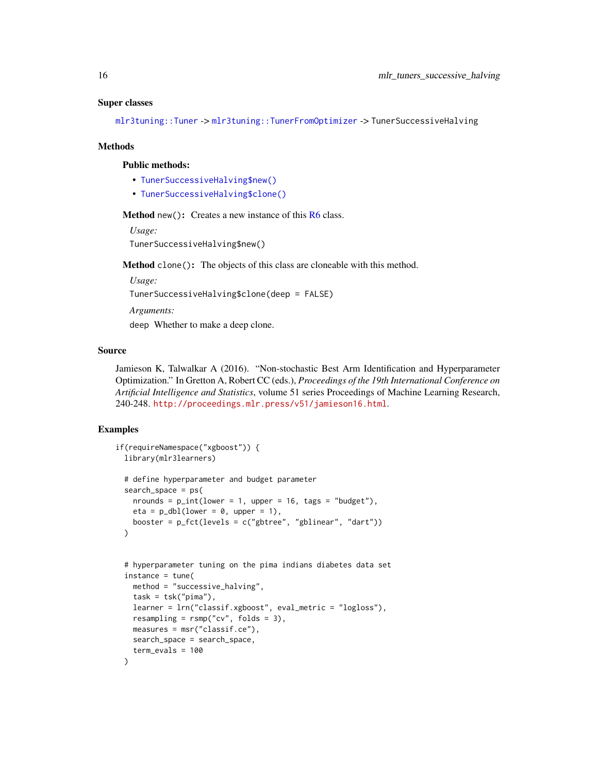#### <span id="page-15-0"></span>Super classes

[mlr3tuning::Tuner](#page-0-0) -> [mlr3tuning::TunerFromOptimizer](#page-0-0) -> TunerSuccessiveHalving

#### Methods

#### Public methods:

- [TunerSuccessiveHalving\\$new\(\)](#page-5-0)
- [TunerSuccessiveHalving\\$clone\(\)](#page-6-0)

Method new(): Creates a new instance of this [R6](#page-0-0) class.

*Usage:*

TunerSuccessiveHalving\$new()

Method clone(): The objects of this class are cloneable with this method.

*Usage:*

TunerSuccessiveHalving\$clone(deep = FALSE)

*Arguments:*

deep Whether to make a deep clone.

# Source

Jamieson K, Talwalkar A (2016). "Non-stochastic Best Arm Identification and Hyperparameter Optimization." In Gretton A, Robert CC (eds.), *Proceedings of the 19th International Conference on Artificial Intelligence and Statistics*, volume 51 series Proceedings of Machine Learning Research, 240-248. <http://proceedings.mlr.press/v51/jamieson16.html>.

```
if(requireNamespace("xgboost")) {
 library(mlr3learners)
 # define hyperparameter and budget parameter
 search_space = ps(
   nrounds = p\_int(lower = 1, upper = 16, tags = "budget"),eta = p_dbl(lower = 0, upper = 1),
   booster = p_fct(levels = c("gbtree", "gblinear", "dart"))
 )
 # hyperparameter tuning on the pima indians diabetes data set
 insertance = tune(method = "successive_halving",
   task = tsk("pima"),
   learner = lrn("classif.xgboost", eval_metric = "logloss"),
   resampling = rsmp("cv", folds = 3),measures = msr("classif.ce"),
   search_space = search_space,
   term_evals = 100
 )
```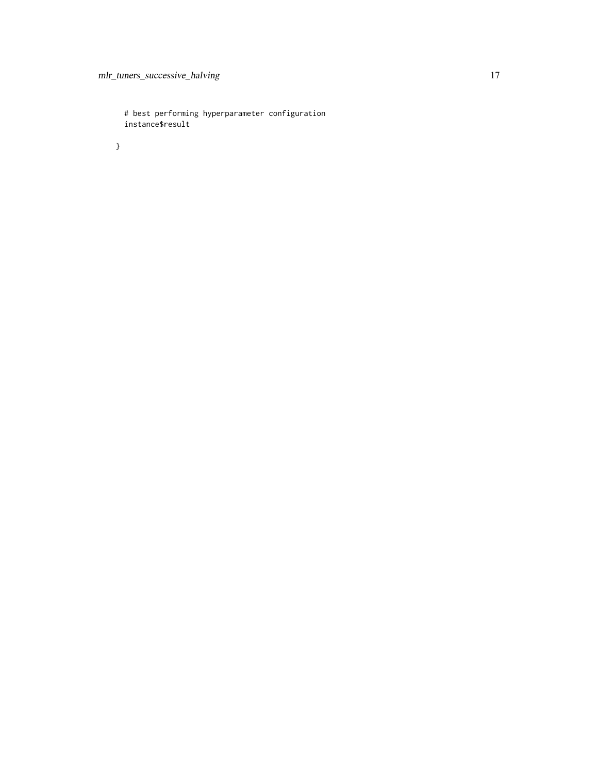# best performing hyperparameter configuration instance\$result

}